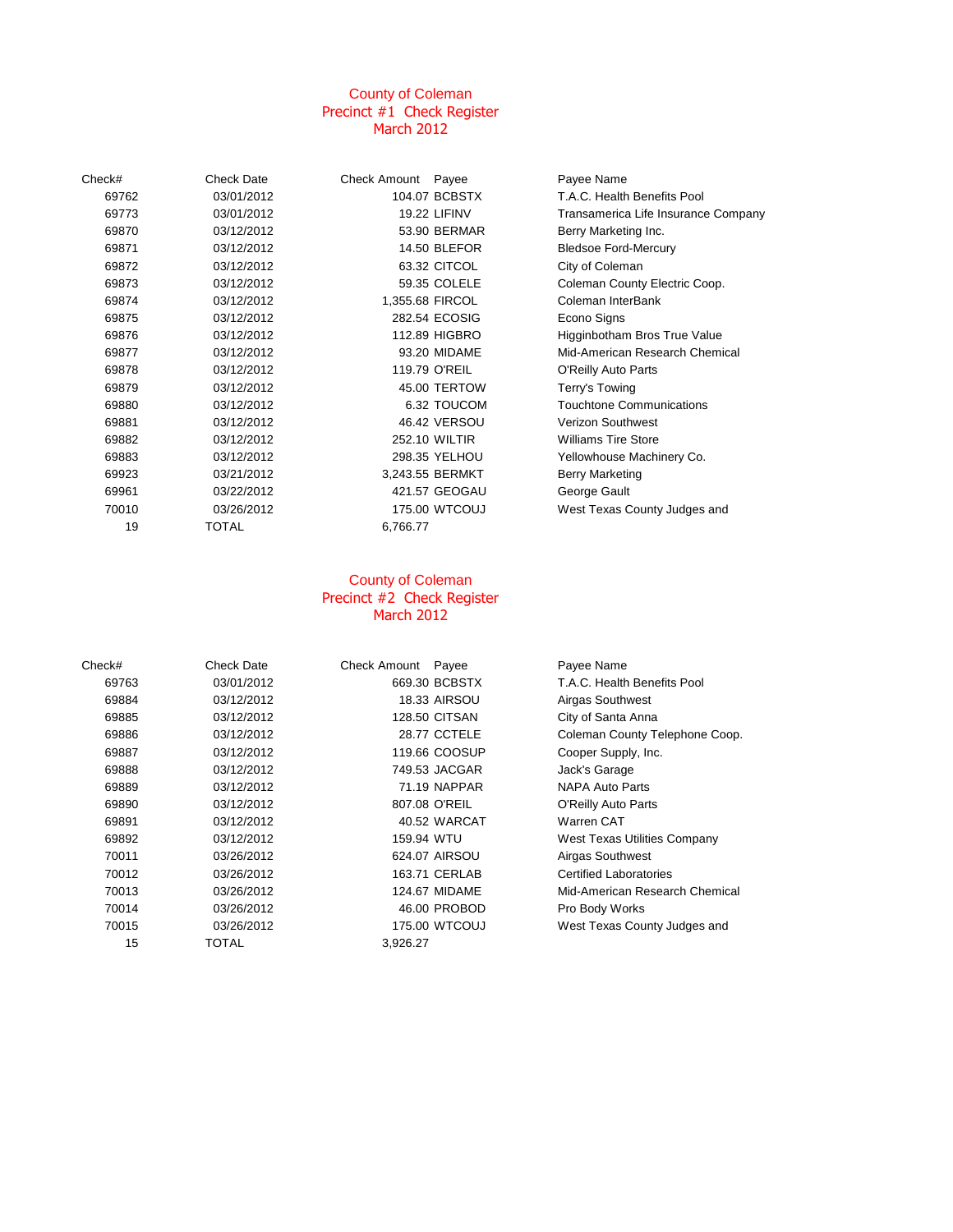### County of Coleman Precinct #1 Check Register March 2012

| Check# | <b>Check Date</b> | Check Amount Payee |                     | Payee Name                      |
|--------|-------------------|--------------------|---------------------|---------------------------------|
| 69762  | 03/01/2012        |                    | 104.07 BCBSTX       | T.A.C. Health Benefits Pool     |
| 69773  | 03/01/2012        |                    | <b>19.22 LIFINV</b> | Transamerica Life Insurance Com |
| 69870  | 03/12/2012        |                    | 53.90 BERMAR        | Berry Marketing Inc.            |
| 69871  | 03/12/2012        |                    | <b>14.50 BLEFOR</b> | <b>Bledsoe Ford-Mercury</b>     |
| 69872  | 03/12/2012        |                    | 63.32 CITCOL        | City of Coleman                 |
| 69873  | 03/12/2012        |                    | 59.35 COLELE        | Coleman County Electric Coop.   |
| 69874  | 03/12/2012        | 1,355.68 FIRCOL    |                     | Coleman InterBank               |
| 69875  | 03/12/2012        |                    | 282.54 ECOSIG       | Econo Signs                     |
| 69876  | 03/12/2012        |                    | 112.89 HIGBRO       | Higginbotham Bros True Value    |
| 69877  | 03/12/2012        |                    | 93.20 MIDAME        | Mid-American Research Chemical  |
| 69878  | 03/12/2012        |                    | 119.79 O'REIL       | O'Reilly Auto Parts             |
| 69879  | 03/12/2012        |                    | 45.00 TERTOW        | Terry's Towing                  |
| 69880  | 03/12/2012        |                    | 6.32 TOUCOM         | Touchtone Communications        |
| 69881  | 03/12/2012        |                    | 46.42 VERSOU        | Verizon Southwest               |
| 69882  | 03/12/2012        |                    | 252.10 WILTIR       | <b>Williams Tire Store</b>      |
| 69883  | 03/12/2012        |                    | 298.35 YELHOU       | Yellowhouse Machinery Co.       |
| 69923  | 03/21/2012        |                    | 3,243.55 BERMKT     | <b>Berry Marketing</b>          |
| 69961  | 03/22/2012        |                    | 421.57 GEOGAU       | George Gault                    |
| 70010  | 03/26/2012        |                    | 175.00 WTCOUJ       | West Texas County Judges and    |
| 19     | TOTAL             | 6,766.77           |                     |                                 |
|        |                   |                    |                     |                                 |

#### County of Coleman Precinct #2 Check Register March 2012

| Check# | <b>Check Date</b> | <b>Check Amount</b><br>Payee | Payee Name                     |
|--------|-------------------|------------------------------|--------------------------------|
| 69763  | 03/01/2012        | 669.30 BCBSTX                | T.A.C. Health Benefits Pool    |
| 69884  | 03/12/2012        | <b>18.33 AIRSOU</b>          | Airgas Southwest               |
| 69885  | 03/12/2012        | <b>128.50 CITSAN</b>         | City of Santa Anna             |
| 69886  | 03/12/2012        | 28.77 CCTELE                 | Coleman County Telephone Coop. |
| 69887  | 03/12/2012        | 119.66 COOSUP                | Cooper Supply, Inc.            |
| 69888  | 03/12/2012        | 749.53 JACGAR                | Jack's Garage                  |
| 69889  | 03/12/2012        | 71.19 NAPPAR                 | <b>NAPA Auto Parts</b>         |
| 69890  | 03/12/2012        | 807.08 O'REIL                | O'Reilly Auto Parts            |
| 69891  | 03/12/2012        | 40.52 WARCAT                 | Warren CAT                     |
| 69892  | 03/12/2012        | 159.94 WTU                   | West Texas Utilities Company   |
| 70011  | 03/26/2012        | 624.07 AIRSOU                | Airgas Southwest               |
| 70012  | 03/26/2012        | 163.71 CERLAB                | <b>Certified Laboratories</b>  |
| 70013  | 03/26/2012        | <b>124.67 MIDAME</b>         | Mid-American Research Chemical |
| 70014  | 03/26/2012        | 46.00 PROBOD                 | Pro Body Works                 |
| 70015  | 03/26/2012        | 175.00 WTCOUJ                | West Texas County Judges and   |
| 15     | TOTAL             | 3,926.27                     |                                |

ance Company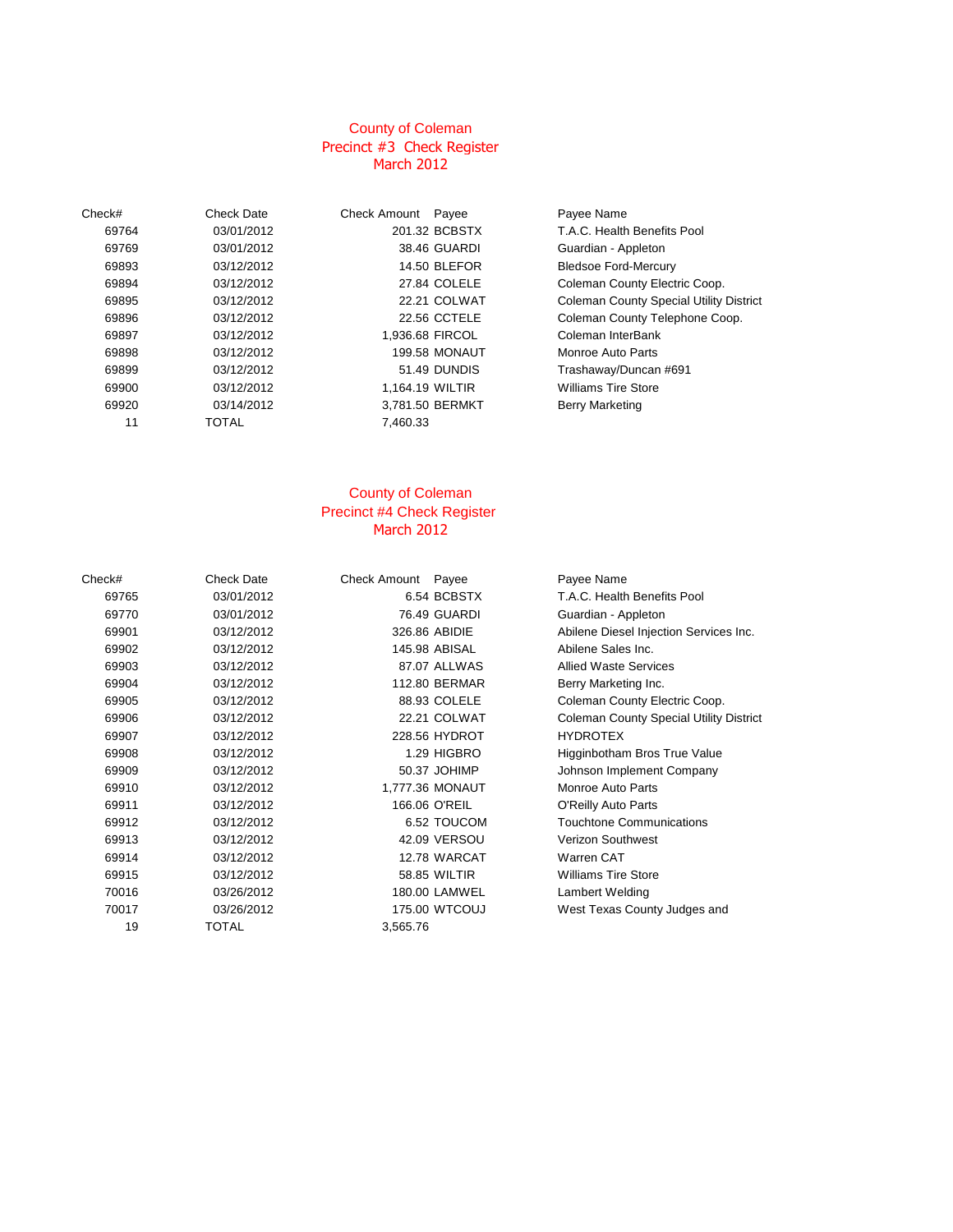### County of Coleman March 2012 Precinct #3 Check Register

| Check# | <b>Check Date</b> | <b>Check Amount</b> | Payee                | Payee Name           |
|--------|-------------------|---------------------|----------------------|----------------------|
| 69764  | 03/01/2012        |                     | 201.32 BCBSTX        | T.A.C. Health        |
| 69769  | 03/01/2012        |                     | 38.46 GUARDI         | Guardian - Ar        |
| 69893  | 03/12/2012        |                     | <b>14.50 BLEFOR</b>  | <b>Bledsoe Ford</b>  |
| 69894  | 03/12/2012        |                     | 27.84 COLELE         | Coleman Cou          |
| 69895  | 03/12/2012        |                     | 22.21 COLWAT         | Coleman Cou          |
| 69896  | 03/12/2012        |                     | 22.56 CCTELE         | Coleman Cou          |
| 69897  | 03/12/2012        |                     | 1.936.68 FIRCOL      | Coleman Inte         |
| 69898  | 03/12/2012        |                     | <b>199.58 MONAUT</b> | Monroe Auto          |
| 69899  | 03/12/2012        |                     | 51.49 DUNDIS         | Trashaway/D          |
| 69900  | 03/12/2012        | 1.164.19 WILTIR     |                      | <b>Williams Tire</b> |
| 69920  | 03/14/2012        |                     | 3,781.50 BERMKT      | <b>Berry Marketi</b> |
| 11     | <b>TOTAL</b>      | 7,460.33            |                      |                      |
|        |                   |                     |                      |                      |

| Date   | Check Amount Payee |                      | Payee Name                  |
|--------|--------------------|----------------------|-----------------------------|
| 1/2012 |                    | 201.32 BCBSTX        | T.A.C. Health Benefits      |
| 1/2012 |                    | 38.46 GUARDI         | Guardian - Appleton         |
| 2/2012 |                    | <b>14.50 BLEFOR</b>  | <b>Bledsoe Ford-Mercury</b> |
| 2/2012 |                    | 27.84 COLELE         | <b>Coleman County Elect</b> |
| 2/2012 |                    | 22.21 COLWAT         | <b>Coleman County Spec</b>  |
| 2/2012 |                    | 22.56 CCTELE         | <b>Coleman County Telep</b> |
| 2/2012 |                    | 1,936.68 FIRCOL      | Coleman InterBank           |
| 2/2012 |                    | <b>199.58 MONAUT</b> | Monroe Auto Parts           |
| 2/2012 |                    | 51.49 DUNDIS         | Trashaway/Duncan #6         |
| 2/2012 | 1.164.19 WILTIR    |                      | <b>Williams Tire Store</b>  |
| 4/2012 |                    | 3,781.50 BERMKT      | <b>Berry Marketing</b>      |
|        | 7,460.33           |                      |                             |
|        |                    |                      |                             |

# 03/01/2012 201.32 BCBSTX T.A.C. Health Benefits Pool 03/12/2012 27.84 COLELE Coleman County Electric Coop. 22.21 COLWAT Coleman County Special Utility District ertical definition of the Coleman County Telephone Coop.<br>1936.68 FIRCOL Coleman InterBank E<br>Figure 1,936.69 First part of the Part of the Part of the Part of the Part of the Part of the Part of the Part of the Part of the Part of the Part of the Part of the Part of the Part of the Part of the Part of the Part o 2/2012 51.49 DUNDIS Trashaway/Duncan #691

## Precinct #4 Check Register March 2012 County of Coleman

| Check# | <b>Check Date</b> | Check Amount Payee |                 | Payee Name                                     |
|--------|-------------------|--------------------|-----------------|------------------------------------------------|
| 69765  | 03/01/2012        |                    | 6.54 BCBSTX     | T.A.C. Health Benefits Pool                    |
| 69770  | 03/01/2012        |                    | 76.49 GUARDI    | Guardian - Appleton                            |
| 69901  | 03/12/2012        |                    | 326.86 ABIDIE   | Abilene Diesel Injection Services Inc.         |
| 69902  | 03/12/2012        |                    | 145.98 ABISAL   | Abilene Sales Inc.                             |
| 69903  | 03/12/2012        |                    | 87.07 ALLWAS    | <b>Allied Waste Services</b>                   |
| 69904  | 03/12/2012        |                    | 112.80 BERMAR   | Berry Marketing Inc.                           |
| 69905  | 03/12/2012        |                    | 88.93 COLELE    | Coleman County Electric Coop.                  |
| 69906  | 03/12/2012        |                    | 22.21 COLWAT    | <b>Coleman County Special Utility District</b> |
| 69907  | 03/12/2012        |                    | 228.56 HYDROT   | <b>HYDROTEX</b>                                |
| 69908  | 03/12/2012        |                    | 1.29 HIGBRO     | Higginbotham Bros True Value                   |
| 69909  | 03/12/2012        |                    | 50.37 JOHIMP    | Johnson Implement Company                      |
| 69910  | 03/12/2012        |                    | 1,777.36 MONAUT | Monroe Auto Parts                              |
| 69911  | 03/12/2012        |                    | 166.06 O'REIL   | O'Reilly Auto Parts                            |
| 69912  | 03/12/2012        |                    | 6.52 TOUCOM     | <b>Touchtone Communications</b>                |
| 69913  | 03/12/2012        |                    | 42.09 VERSOU    | <b>Verizon Southwest</b>                       |
| 69914  | 03/12/2012        |                    | 12.78 WARCAT    | Warren CAT                                     |
| 69915  | 03/12/2012        |                    | 58.85 WILTIR    | <b>Williams Tire Store</b>                     |
| 70016  | 03/26/2012        |                    | 180.00 LAMWEL   | Lambert Welding                                |
| 70017  | 03/26/2012        |                    | 175.00 WTCOUJ   | West Texas County Judges and                   |
| 19     | TOTAL             | 3,565.76           |                 |                                                |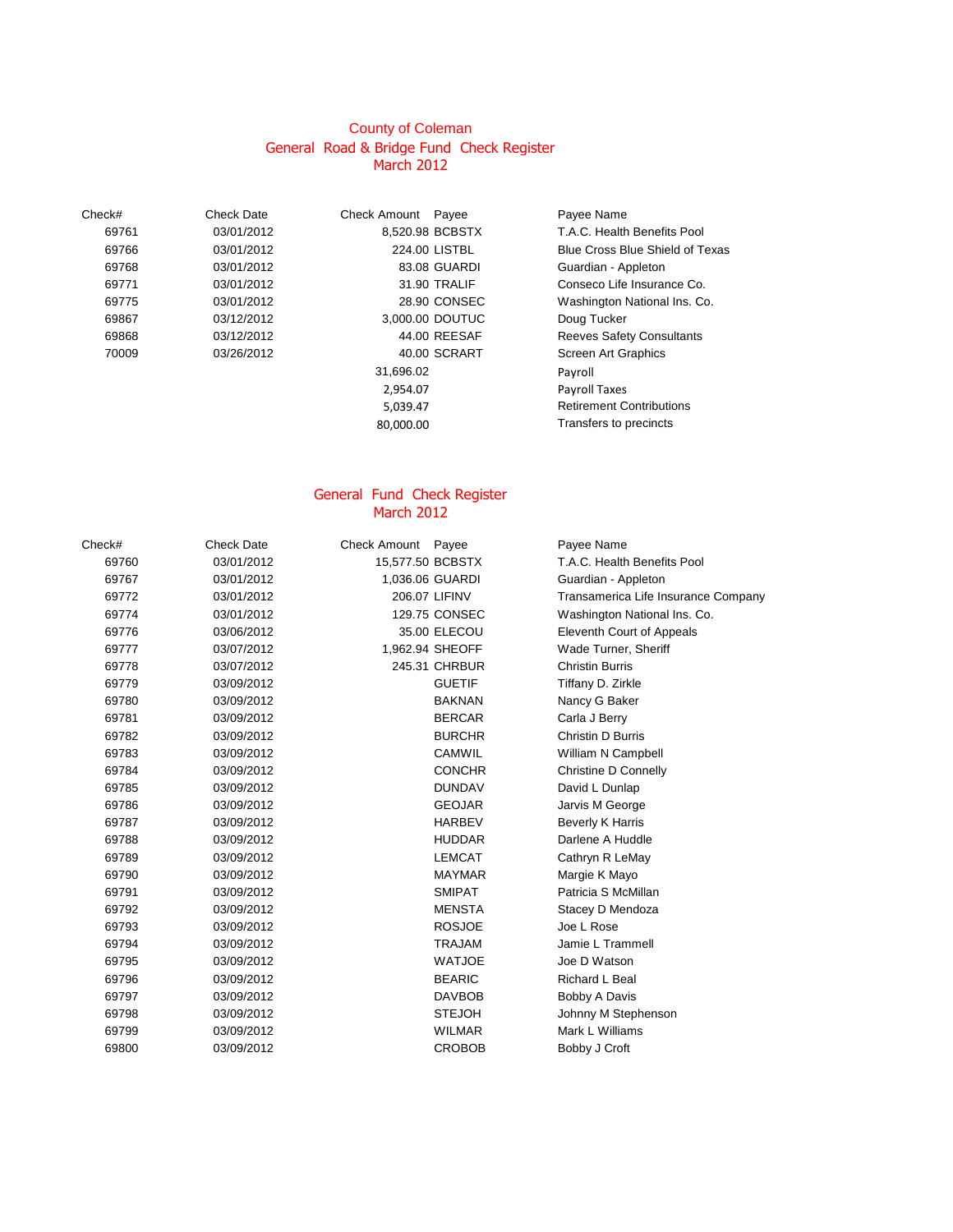## General Road & Bridge Fund Check Register March 2012 County of Coleman

Check# Check Date Check Amount Payee Payee Name 03/01/2012 83.08 GUARDI Guardian - Appleton 03/12/2012 3,000.00 DOUTUC Doug Tucker 70009 03/26/2012 40.00 SCRART Screen Art Graphics

31,696.02 Payroll 2,954.07 Payroll Taxes 80,000.00 Transfers to precincts

 03/01/2012 8,520.98 BCBSTX T.A.C. Health Benefits Pool 03/01/2012 224.00 LISTBL Blue Cross Blue Shield of Texas 03/01/2012 31.90 TRALIF Conseco Life Insurance Co. 03/01/2012 28.90 CONSEC Washington National Ins. Co. 03/12/2012 44.00 REESAF Reeves Safety Consultants 5,039.47 Retirement Contributions

### March 2012 General Fund Check Register

| T.A.C. Health Benefits Pool<br>03/01/2012<br>15,577.50 BCBSTX<br>69760<br>1,036.06 GUARDI<br>Guardian - Appleton<br>69767<br>03/01/2012<br>03/01/2012<br>206.07 LIFINV<br>69772<br>129.75 CONSEC<br>Washington National Ins. Co.<br>69774<br>03/01/2012<br>69776<br>03/06/2012<br>35.00 ELECOU<br>Eleventh Court of Appeals<br>1,962.94 SHEOFF<br>Wade Turner, Sheriff<br>69777<br>03/07/2012<br>245.31 CHRBUR<br><b>Christin Burris</b><br>69778<br>03/07/2012<br>Tiffany D. Zirkle<br>69779<br>03/09/2012<br><b>GUETIF</b><br><b>BAKNAN</b><br>69780<br>03/09/2012<br>Nancy G Baker<br>Carla J Berry<br>69781<br>03/09/2012<br><b>BERCAR</b><br>Christin D Burris<br>69782<br><b>BURCHR</b><br>03/09/2012<br><b>CAMWIL</b><br>William N Campbell<br>69783<br>03/09/2012<br>Christine D Connelly<br>69784<br><b>CONCHR</b><br>03/09/2012<br>David L Dunlap<br>69785<br><b>DUNDAV</b><br>03/09/2012<br><b>GEOJAR</b><br>Jarvis M George<br>69786<br>03/09/2012<br>Beverly K Harris<br><b>HARBEV</b><br>69787<br>03/09/2012<br>Darlene A Huddle<br><b>HUDDAR</b><br>69788<br>03/09/2012<br>69789<br><b>LEMCAT</b><br>Cathryn R LeMay<br>03/09/2012<br>69790<br><b>MAYMAR</b><br>Margie K Mayo<br>03/09/2012<br>Patricia S McMillan<br><b>SMIPAT</b><br>69791<br>03/09/2012<br>69792<br><b>MENSTA</b><br>Stacey D Mendoza<br>03/09/2012<br><b>ROSJOE</b><br>69793<br>Joe L Rose<br>03/09/2012<br><b>TRAJAM</b><br>Jamie L Trammell<br>69794<br>03/09/2012<br>Joe D Watson<br>69795<br>03/09/2012<br><b>WATJOE</b><br><b>BEARIC</b><br>Richard L Beal<br>69796<br>03/09/2012<br><b>DAVBOB</b><br>Bobby A Davis<br>69797<br>03/09/2012<br>03/09/2012<br><b>STEJOH</b><br>Johnny M Stephenson<br>69798<br>Mark L Williams<br>03/09/2012<br><b>WILMAR</b><br>69799<br>69800<br><b>CROBOB</b><br>Bobby J Croft<br>03/09/2012 | Check# | <b>Check Date</b> | Check Amount Payee | Payee Name                          |
|-----------------------------------------------------------------------------------------------------------------------------------------------------------------------------------------------------------------------------------------------------------------------------------------------------------------------------------------------------------------------------------------------------------------------------------------------------------------------------------------------------------------------------------------------------------------------------------------------------------------------------------------------------------------------------------------------------------------------------------------------------------------------------------------------------------------------------------------------------------------------------------------------------------------------------------------------------------------------------------------------------------------------------------------------------------------------------------------------------------------------------------------------------------------------------------------------------------------------------------------------------------------------------------------------------------------------------------------------------------------------------------------------------------------------------------------------------------------------------------------------------------------------------------------------------------------------------------------------------------------------------------------------------------------------------------------------------------------------------------------------------------------------------------------------------------------------|--------|-------------------|--------------------|-------------------------------------|
|                                                                                                                                                                                                                                                                                                                                                                                                                                                                                                                                                                                                                                                                                                                                                                                                                                                                                                                                                                                                                                                                                                                                                                                                                                                                                                                                                                                                                                                                                                                                                                                                                                                                                                                                                                                                                       |        |                   |                    |                                     |
|                                                                                                                                                                                                                                                                                                                                                                                                                                                                                                                                                                                                                                                                                                                                                                                                                                                                                                                                                                                                                                                                                                                                                                                                                                                                                                                                                                                                                                                                                                                                                                                                                                                                                                                                                                                                                       |        |                   |                    |                                     |
|                                                                                                                                                                                                                                                                                                                                                                                                                                                                                                                                                                                                                                                                                                                                                                                                                                                                                                                                                                                                                                                                                                                                                                                                                                                                                                                                                                                                                                                                                                                                                                                                                                                                                                                                                                                                                       |        |                   |                    | Transamerica Life Insurance Company |
|                                                                                                                                                                                                                                                                                                                                                                                                                                                                                                                                                                                                                                                                                                                                                                                                                                                                                                                                                                                                                                                                                                                                                                                                                                                                                                                                                                                                                                                                                                                                                                                                                                                                                                                                                                                                                       |        |                   |                    |                                     |
|                                                                                                                                                                                                                                                                                                                                                                                                                                                                                                                                                                                                                                                                                                                                                                                                                                                                                                                                                                                                                                                                                                                                                                                                                                                                                                                                                                                                                                                                                                                                                                                                                                                                                                                                                                                                                       |        |                   |                    |                                     |
|                                                                                                                                                                                                                                                                                                                                                                                                                                                                                                                                                                                                                                                                                                                                                                                                                                                                                                                                                                                                                                                                                                                                                                                                                                                                                                                                                                                                                                                                                                                                                                                                                                                                                                                                                                                                                       |        |                   |                    |                                     |
|                                                                                                                                                                                                                                                                                                                                                                                                                                                                                                                                                                                                                                                                                                                                                                                                                                                                                                                                                                                                                                                                                                                                                                                                                                                                                                                                                                                                                                                                                                                                                                                                                                                                                                                                                                                                                       |        |                   |                    |                                     |
|                                                                                                                                                                                                                                                                                                                                                                                                                                                                                                                                                                                                                                                                                                                                                                                                                                                                                                                                                                                                                                                                                                                                                                                                                                                                                                                                                                                                                                                                                                                                                                                                                                                                                                                                                                                                                       |        |                   |                    |                                     |
|                                                                                                                                                                                                                                                                                                                                                                                                                                                                                                                                                                                                                                                                                                                                                                                                                                                                                                                                                                                                                                                                                                                                                                                                                                                                                                                                                                                                                                                                                                                                                                                                                                                                                                                                                                                                                       |        |                   |                    |                                     |
|                                                                                                                                                                                                                                                                                                                                                                                                                                                                                                                                                                                                                                                                                                                                                                                                                                                                                                                                                                                                                                                                                                                                                                                                                                                                                                                                                                                                                                                                                                                                                                                                                                                                                                                                                                                                                       |        |                   |                    |                                     |
|                                                                                                                                                                                                                                                                                                                                                                                                                                                                                                                                                                                                                                                                                                                                                                                                                                                                                                                                                                                                                                                                                                                                                                                                                                                                                                                                                                                                                                                                                                                                                                                                                                                                                                                                                                                                                       |        |                   |                    |                                     |
|                                                                                                                                                                                                                                                                                                                                                                                                                                                                                                                                                                                                                                                                                                                                                                                                                                                                                                                                                                                                                                                                                                                                                                                                                                                                                                                                                                                                                                                                                                                                                                                                                                                                                                                                                                                                                       |        |                   |                    |                                     |
|                                                                                                                                                                                                                                                                                                                                                                                                                                                                                                                                                                                                                                                                                                                                                                                                                                                                                                                                                                                                                                                                                                                                                                                                                                                                                                                                                                                                                                                                                                                                                                                                                                                                                                                                                                                                                       |        |                   |                    |                                     |
|                                                                                                                                                                                                                                                                                                                                                                                                                                                                                                                                                                                                                                                                                                                                                                                                                                                                                                                                                                                                                                                                                                                                                                                                                                                                                                                                                                                                                                                                                                                                                                                                                                                                                                                                                                                                                       |        |                   |                    |                                     |
|                                                                                                                                                                                                                                                                                                                                                                                                                                                                                                                                                                                                                                                                                                                                                                                                                                                                                                                                                                                                                                                                                                                                                                                                                                                                                                                                                                                                                                                                                                                                                                                                                                                                                                                                                                                                                       |        |                   |                    |                                     |
|                                                                                                                                                                                                                                                                                                                                                                                                                                                                                                                                                                                                                                                                                                                                                                                                                                                                                                                                                                                                                                                                                                                                                                                                                                                                                                                                                                                                                                                                                                                                                                                                                                                                                                                                                                                                                       |        |                   |                    |                                     |
|                                                                                                                                                                                                                                                                                                                                                                                                                                                                                                                                                                                                                                                                                                                                                                                                                                                                                                                                                                                                                                                                                                                                                                                                                                                                                                                                                                                                                                                                                                                                                                                                                                                                                                                                                                                                                       |        |                   |                    |                                     |
|                                                                                                                                                                                                                                                                                                                                                                                                                                                                                                                                                                                                                                                                                                                                                                                                                                                                                                                                                                                                                                                                                                                                                                                                                                                                                                                                                                                                                                                                                                                                                                                                                                                                                                                                                                                                                       |        |                   |                    |                                     |
|                                                                                                                                                                                                                                                                                                                                                                                                                                                                                                                                                                                                                                                                                                                                                                                                                                                                                                                                                                                                                                                                                                                                                                                                                                                                                                                                                                                                                                                                                                                                                                                                                                                                                                                                                                                                                       |        |                   |                    |                                     |
|                                                                                                                                                                                                                                                                                                                                                                                                                                                                                                                                                                                                                                                                                                                                                                                                                                                                                                                                                                                                                                                                                                                                                                                                                                                                                                                                                                                                                                                                                                                                                                                                                                                                                                                                                                                                                       |        |                   |                    |                                     |
|                                                                                                                                                                                                                                                                                                                                                                                                                                                                                                                                                                                                                                                                                                                                                                                                                                                                                                                                                                                                                                                                                                                                                                                                                                                                                                                                                                                                                                                                                                                                                                                                                                                                                                                                                                                                                       |        |                   |                    |                                     |
|                                                                                                                                                                                                                                                                                                                                                                                                                                                                                                                                                                                                                                                                                                                                                                                                                                                                                                                                                                                                                                                                                                                                                                                                                                                                                                                                                                                                                                                                                                                                                                                                                                                                                                                                                                                                                       |        |                   |                    |                                     |
|                                                                                                                                                                                                                                                                                                                                                                                                                                                                                                                                                                                                                                                                                                                                                                                                                                                                                                                                                                                                                                                                                                                                                                                                                                                                                                                                                                                                                                                                                                                                                                                                                                                                                                                                                                                                                       |        |                   |                    |                                     |
|                                                                                                                                                                                                                                                                                                                                                                                                                                                                                                                                                                                                                                                                                                                                                                                                                                                                                                                                                                                                                                                                                                                                                                                                                                                                                                                                                                                                                                                                                                                                                                                                                                                                                                                                                                                                                       |        |                   |                    |                                     |
|                                                                                                                                                                                                                                                                                                                                                                                                                                                                                                                                                                                                                                                                                                                                                                                                                                                                                                                                                                                                                                                                                                                                                                                                                                                                                                                                                                                                                                                                                                                                                                                                                                                                                                                                                                                                                       |        |                   |                    |                                     |
|                                                                                                                                                                                                                                                                                                                                                                                                                                                                                                                                                                                                                                                                                                                                                                                                                                                                                                                                                                                                                                                                                                                                                                                                                                                                                                                                                                                                                                                                                                                                                                                                                                                                                                                                                                                                                       |        |                   |                    |                                     |
|                                                                                                                                                                                                                                                                                                                                                                                                                                                                                                                                                                                                                                                                                                                                                                                                                                                                                                                                                                                                                                                                                                                                                                                                                                                                                                                                                                                                                                                                                                                                                                                                                                                                                                                                                                                                                       |        |                   |                    |                                     |
|                                                                                                                                                                                                                                                                                                                                                                                                                                                                                                                                                                                                                                                                                                                                                                                                                                                                                                                                                                                                                                                                                                                                                                                                                                                                                                                                                                                                                                                                                                                                                                                                                                                                                                                                                                                                                       |        |                   |                    |                                     |
|                                                                                                                                                                                                                                                                                                                                                                                                                                                                                                                                                                                                                                                                                                                                                                                                                                                                                                                                                                                                                                                                                                                                                                                                                                                                                                                                                                                                                                                                                                                                                                                                                                                                                                                                                                                                                       |        |                   |                    |                                     |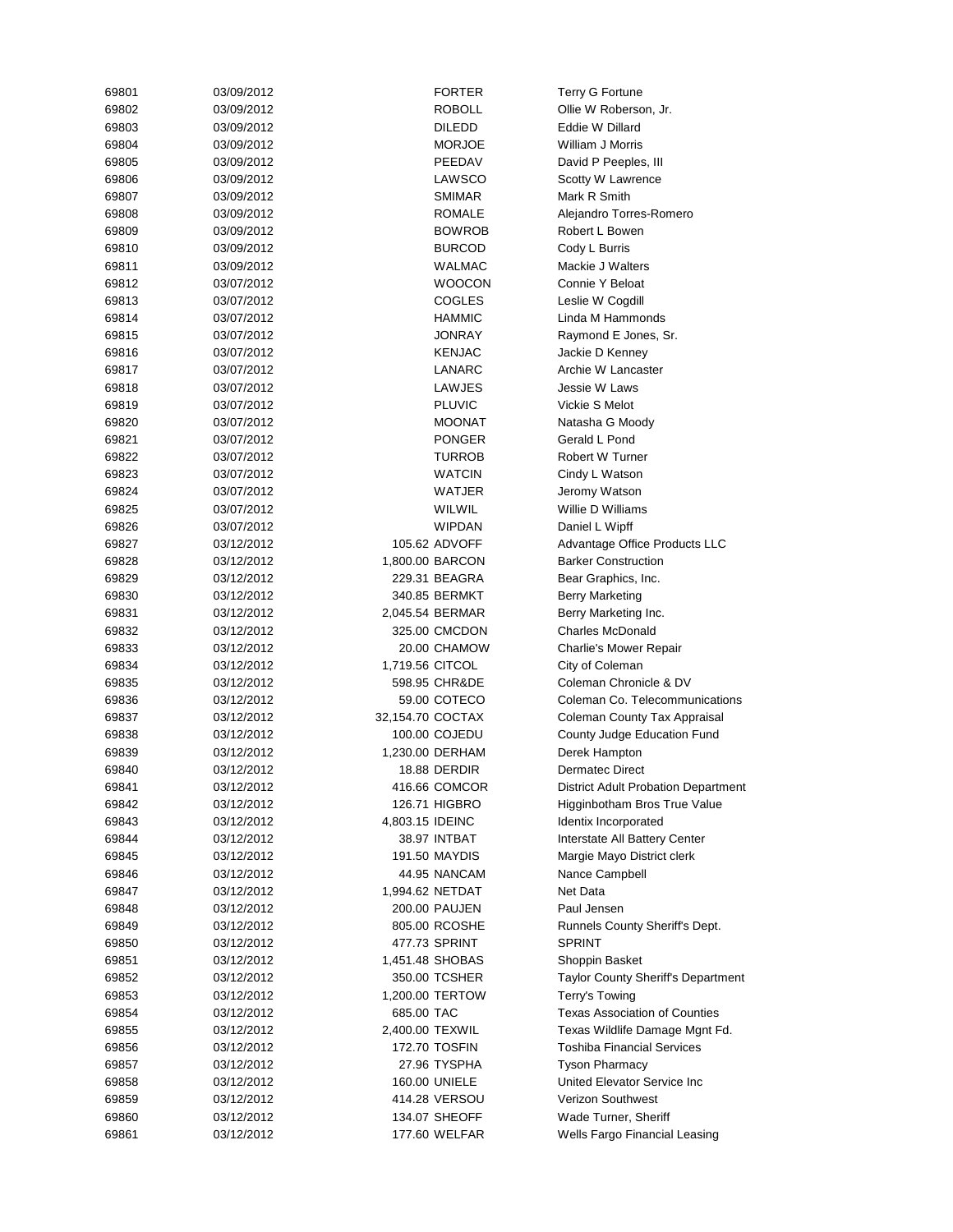| 69801 | 03/09/2012 | <b>FORTER</b>    | <b>Terry G Fortune</b>               |
|-------|------------|------------------|--------------------------------------|
| 69802 | 03/09/2012 | <b>ROBOLL</b>    | Ollie W Roberson, Jr.                |
| 69803 | 03/09/2012 | <b>DILEDD</b>    | Eddie W Dillard                      |
| 69804 | 03/09/2012 | <b>MORJOE</b>    | William J Morris                     |
| 69805 | 03/09/2012 | PEEDAV           | David P Peeples, III                 |
| 69806 | 03/09/2012 | LAWSCO           | Scotty W Lawrence                    |
| 69807 | 03/09/2012 | <b>SMIMAR</b>    | Mark R Smith                         |
| 69808 | 03/09/2012 | ROMALE           | Alejandro Torres-Romero              |
| 69809 | 03/09/2012 | <b>BOWROB</b>    | Robert L Bowen                       |
| 69810 | 03/09/2012 | <b>BURCOD</b>    | Cody L Burris                        |
| 69811 | 03/09/2012 | WALMAC           | Mackie J Walters                     |
| 69812 | 03/07/2012 | <b>WOOCON</b>    | Connie Y Beloat                      |
| 69813 | 03/07/2012 | <b>COGLES</b>    | Leslie W Cogdill                     |
| 69814 | 03/07/2012 | <b>HAMMIC</b>    | Linda M Hammonds                     |
| 69815 | 03/07/2012 | JONRAY           | Raymond E Jones, Sr.                 |
| 69816 | 03/07/2012 | <b>KENJAC</b>    | Jackie D Kenney                      |
| 69817 | 03/07/2012 | LANARC           | Archie W Lancaster                   |
| 69818 | 03/07/2012 | LAWJES           | Jessie W Laws                        |
| 69819 | 03/07/2012 | <b>PLUVIC</b>    | Vickie S Melot                       |
| 69820 | 03/07/2012 | <b>MOONAT</b>    | Natasha G Moody                      |
| 69821 | 03/07/2012 | <b>PONGER</b>    | Gerald L Pond                        |
| 69822 |            |                  | Robert W Turner                      |
|       | 03/07/2012 | TURROB           |                                      |
| 69823 | 03/07/2012 | WATCIN           | Cindy L Watson                       |
| 69824 | 03/07/2012 | WATJER           | Jeromy Watson                        |
| 69825 | 03/07/2012 | WILWIL           | Willie D Williams                    |
| 69826 | 03/07/2012 | <b>WIPDAN</b>    | Daniel L Wipff                       |
| 69827 | 03/12/2012 | 105.62 ADVOFF    | Advantage Office Products LLC        |
| 69828 | 03/12/2012 | 1,800.00 BARCON  | <b>Barker Construction</b>           |
| 69829 | 03/12/2012 | 229.31 BEAGRA    | Bear Graphics, Inc.                  |
| 69830 | 03/12/2012 | 340.85 BERMKT    | <b>Berry Marketing</b>               |
| 69831 | 03/12/2012 | 2,045.54 BERMAR  | Berry Marketing Inc.                 |
| 69832 | 03/12/2012 | 325.00 CMCDON    | <b>Charles McDonald</b>              |
| 69833 | 03/12/2012 | 20.00 CHAMOW     | Charlie's Mower Repair               |
| 69834 | 03/12/2012 | 1,719.56 CITCOL  | City of Coleman                      |
| 69835 | 03/12/2012 | 598.95 CHR&DE    | Coleman Chronicle & DV               |
| 69836 | 03/12/2012 | 59.00 COTECO     | Coleman Co. Telecommunications       |
| 69837 | 03/12/2012 | 32,154.70 COCTAX | Coleman County Tax Appraisal         |
| 69838 | 03/12/2012 | 100.00 COJEDU    | County Judge Education Fund          |
| 69839 | 03/12/2012 | 1,230.00 DERHAM  | Derek Hampton                        |
| 69840 | 03/12/2012 | 18.88 DERDIR     | <b>Dermatec Direct</b>               |
| 69841 | 03/12/2012 | 416.66 COMCOR    | District Adult Probation Department  |
| 69842 | 03/12/2012 | 126.71 HIGBRO    | Higginbotham Bros True Value         |
| 69843 | 03/12/2012 | 4,803.15 IDEINC  | Identix Incorporated                 |
| 69844 | 03/12/2012 | 38.97 INTBAT     | Interstate All Battery Center        |
| 69845 | 03/12/2012 | 191.50 MAYDIS    | Margie Mayo District clerk           |
| 69846 | 03/12/2012 | 44.95 NANCAM     | Nance Campbell                       |
| 69847 | 03/12/2012 | 1,994.62 NETDAT  | Net Data                             |
| 69848 | 03/12/2012 | 200.00 PAUJEN    | Paul Jensen                          |
| 69849 | 03/12/2012 | 805.00 RCOSHE    | Runnels County Sheriff's Dept.       |
| 69850 | 03/12/2012 | 477.73 SPRINT    | <b>SPRINT</b>                        |
| 69851 | 03/12/2012 | 1,451.48 SHOBAS  | Shoppin Basket                       |
| 69852 | 03/12/2012 | 350.00 TCSHER    | Taylor County Sheriff's Department   |
| 69853 | 03/12/2012 | 1,200.00 TERTOW  | Terry's Towing                       |
| 69854 | 03/12/2012 | 685.00 TAC       | <b>Texas Association of Counties</b> |
| 69855 | 03/12/2012 | 2,400.00 TEXWIL  | Texas Wildlife Damage Mgnt Fd.       |
| 69856 | 03/12/2012 | 172.70 TOSFIN    | <b>Toshiba Financial Services</b>    |
| 69857 | 03/12/2012 | 27.96 TYSPHA     | <b>Tyson Pharmacy</b>                |
| 69858 | 03/12/2012 | 160.00 UNIELE    | United Elevator Service Inc          |
| 69859 | 03/12/2012 | 414.28 VERSOU    | Verizon Southwest                    |
|       |            |                  |                                      |
| 69860 | 03/12/2012 | 134.07 SHEOFF    | Wade Turner, Sheriff                 |
| 69861 | 03/12/2012 | 177.60 WELFAR    | Wells Fargo Financial Leasing        |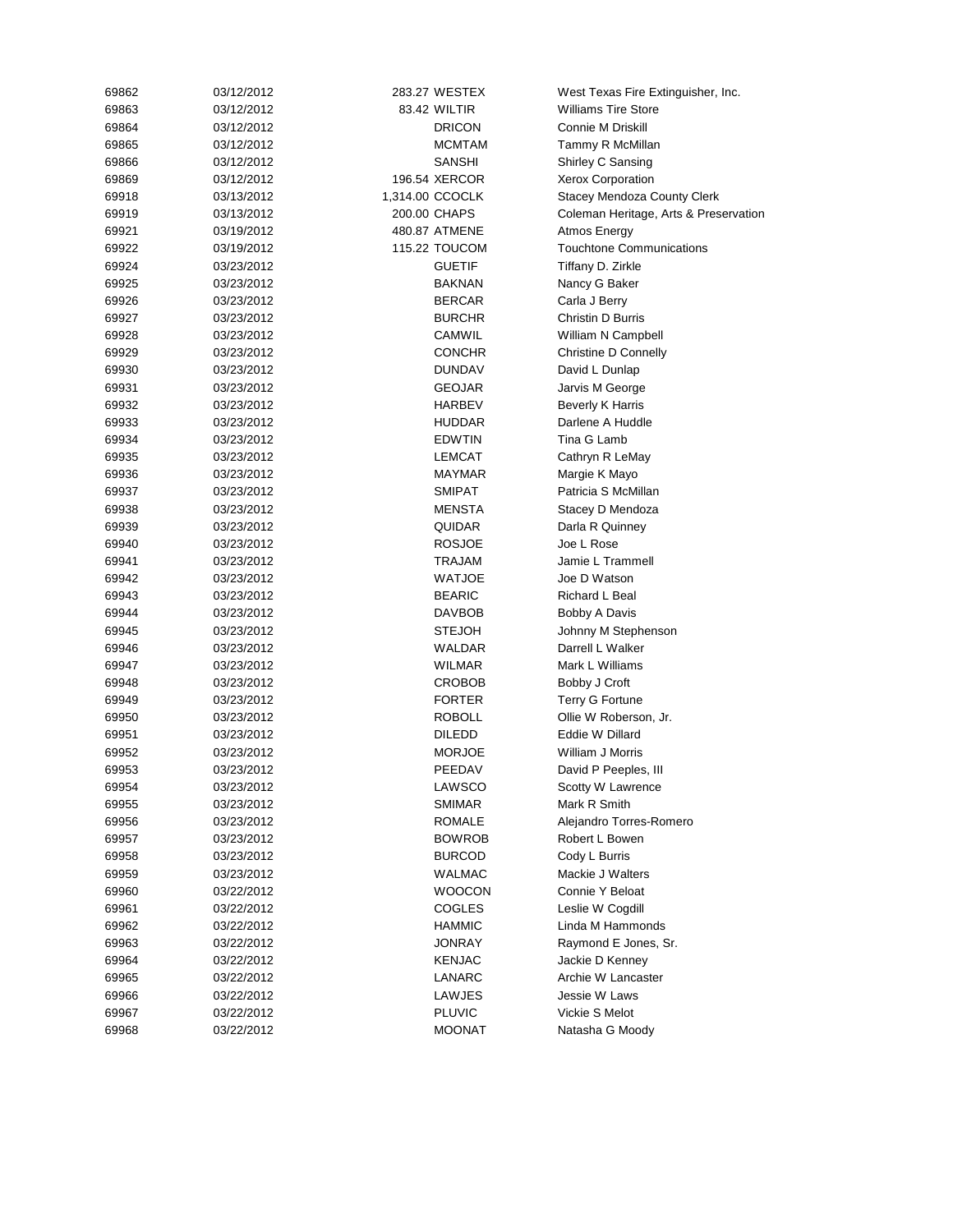| 69862 | 03/12/2012 | 283.27 WESTEX   |               | West Texas Fire Extinguisher, Inc.    |
|-------|------------|-----------------|---------------|---------------------------------------|
| 69863 | 03/12/2012 | 83.42 WILTIR    |               | <b>Williams Tire Store</b>            |
| 69864 | 03/12/2012 |                 | <b>DRICON</b> | <b>Connie M Driskill</b>              |
| 69865 | 03/12/2012 |                 | <b>MCMTAM</b> | Tammy R McMillan                      |
| 69866 | 03/12/2012 |                 | <b>SANSHI</b> | Shirley C Sansing                     |
| 69869 | 03/12/2012 | 196.54 XERCOR   |               | Xerox Corporation                     |
| 69918 | 03/13/2012 | 1,314.00 CCOCLK |               | Stacey Mendoza County Clerk           |
| 69919 | 03/13/2012 | 200.00 CHAPS    |               | Coleman Heritage, Arts & Preservation |
| 69921 | 03/19/2012 | 480.87 ATMENE   |               | Atmos Energy                          |
| 69922 | 03/19/2012 | 115.22 TOUCOM   |               | <b>Touchtone Communications</b>       |
| 69924 | 03/23/2012 |                 | <b>GUETIF</b> | Tiffany D. Zirkle                     |
| 69925 | 03/23/2012 |                 | <b>BAKNAN</b> | Nancy G Baker                         |
| 69926 | 03/23/2012 |                 | <b>BERCAR</b> | Carla J Berry                         |
| 69927 | 03/23/2012 |                 | <b>BURCHR</b> | Christin D Burris                     |
| 69928 | 03/23/2012 |                 | CAMWIL        | William N Campbell                    |
| 69929 | 03/23/2012 |                 | <b>CONCHR</b> | Christine D Connelly                  |
| 69930 | 03/23/2012 |                 | <b>DUNDAV</b> | David L Dunlap                        |
| 69931 | 03/23/2012 |                 | <b>GEOJAR</b> | Jarvis M George                       |
| 69932 | 03/23/2012 |                 | <b>HARBEV</b> | <b>Beverly K Harris</b>               |
| 69933 | 03/23/2012 |                 | <b>HUDDAR</b> | Darlene A Huddle                      |
| 69934 | 03/23/2012 |                 | <b>EDWTIN</b> | Tina G Lamb                           |
| 69935 | 03/23/2012 |                 | <b>LEMCAT</b> | Cathryn R LeMay                       |
| 69936 | 03/23/2012 |                 | <b>MAYMAR</b> | Margie K Mayo                         |
| 69937 | 03/23/2012 |                 | <b>SMIPAT</b> | Patricia S McMillan                   |
| 69938 | 03/23/2012 |                 | MENSTA        | Stacey D Mendoza                      |
| 69939 | 03/23/2012 |                 | QUIDAR        | Darla R Quinney                       |
| 69940 | 03/23/2012 |                 | <b>ROSJOE</b> | Joe L Rose                            |
| 69941 | 03/23/2012 |                 | TRAJAM        | Jamie L Trammell                      |
| 69942 | 03/23/2012 |                 | <b>WATJOE</b> | Joe D Watson                          |
| 69943 | 03/23/2012 |                 | <b>BEARIC</b> | Richard L Beal                        |
| 69944 | 03/23/2012 |                 | <b>DAVBOB</b> | <b>Bobby A Davis</b>                  |
| 69945 | 03/23/2012 |                 | <b>STEJOH</b> | Johnny M Stephenson                   |
| 69946 | 03/23/2012 |                 | WALDAR        | Darrell L Walker                      |
| 69947 | 03/23/2012 |                 | <b>WILMAR</b> | Mark L Williams                       |
| 69948 | 03/23/2012 |                 | <b>CROBOB</b> | Bobby J Croft                         |
| 69949 | 03/23/2012 |                 | <b>FORTER</b> | Terry G Fortune                       |
| 69950 | 03/23/2012 |                 | <b>ROBOLL</b> | Ollie W Roberson, Jr.                 |
| 69951 | 03/23/2012 |                 | <b>DILEDD</b> | Eddie W Dillard                       |
| 69952 | 03/23/2012 |                 | <b>MORJOE</b> | William J Morris                      |
| 69953 | 03/23/2012 |                 | PEEDAV        | David P Peeples, III                  |
| 69954 | 03/23/2012 |                 | LAWSCO        | Scotty W Lawrence                     |
| 69955 | 03/23/2012 |                 | <b>SMIMAR</b> | Mark R Smith                          |
| 69956 | 03/23/2012 |                 | ROMALE        | Alejandro Torres-Romero               |
| 69957 | 03/23/2012 |                 | <b>BOWROB</b> | Robert L Bowen                        |
| 69958 | 03/23/2012 |                 | <b>BURCOD</b> | Cody L Burris                         |
| 69959 | 03/23/2012 |                 | <b>WALMAC</b> | Mackie J Walters                      |
| 69960 | 03/22/2012 |                 | <b>WOOCON</b> | Connie Y Beloat                       |
| 69961 | 03/22/2012 |                 | COGLES        | Leslie W Cogdill                      |
| 69962 | 03/22/2012 |                 | <b>HAMMIC</b> | Linda M Hammonds                      |
| 69963 | 03/22/2012 |                 | JONRAY        | Raymond E Jones, Sr.                  |
| 69964 | 03/22/2012 |                 | KENJAC        | Jackie D Kenney                       |
| 69965 | 03/22/2012 |                 | LANARC        | Archie W Lancaster                    |
| 69966 | 03/22/2012 |                 | LAWJES        | Jessie W Laws                         |
| 69967 | 03/22/2012 |                 | <b>PLUVIC</b> | Vickie S Melot                        |
| 69968 | 03/22/2012 |                 | <b>MOONAT</b> | Natasha G Moody                       |
|       |            |                 |               |                                       |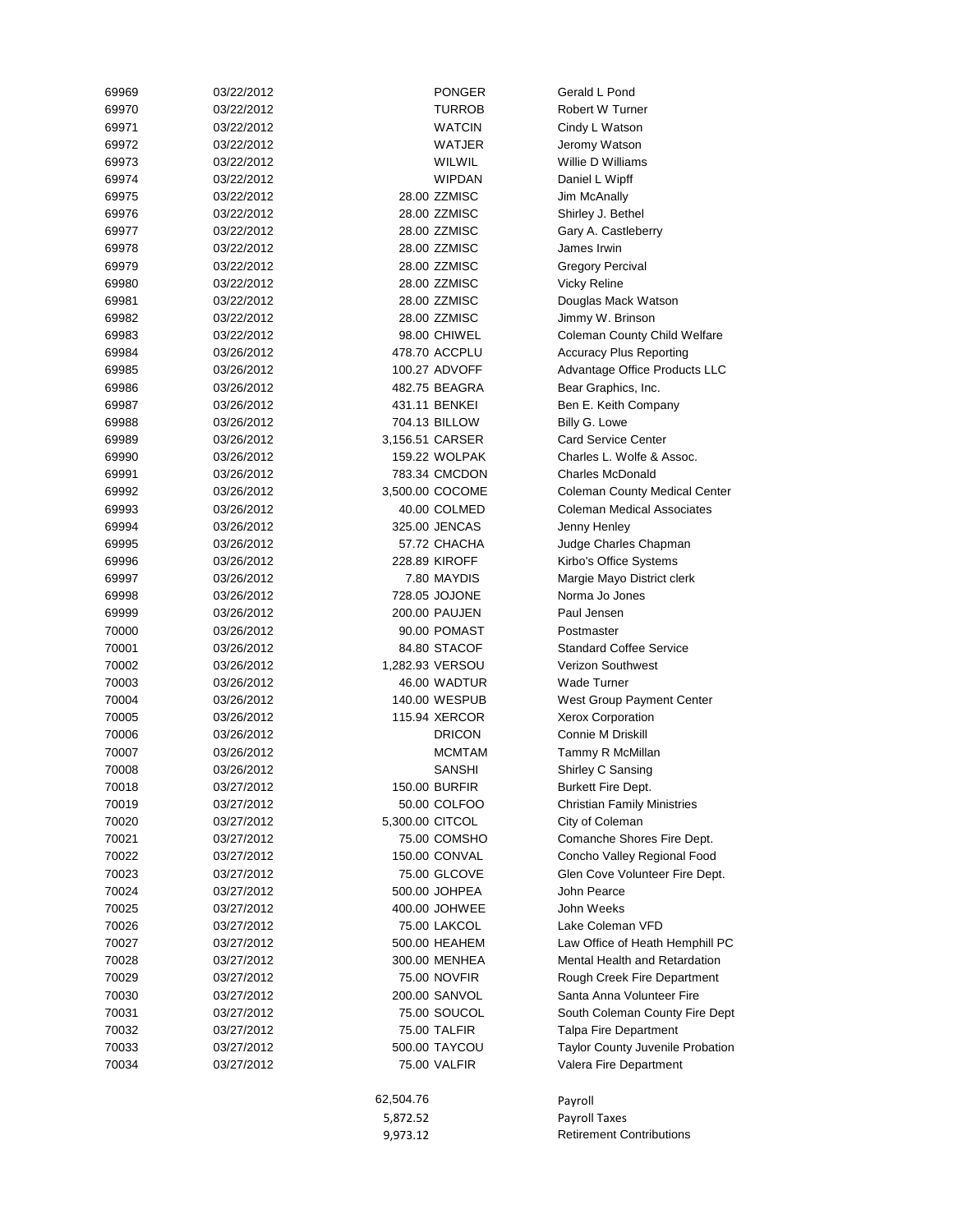|                |                          | 9,973.12  |                                | <b>Retirement Contributions</b>                                 |
|----------------|--------------------------|-----------|--------------------------------|-----------------------------------------------------------------|
|                |                          | 5,872.52  |                                | Payroll Taxes                                                   |
|                |                          | 62,504.76 |                                | Payroll                                                         |
| 70034          | 03/27/2012               |           | 75.00 VALFIR                   | Valera Fire Department                                          |
| 70033          | 03/27/2012               |           | 500.00 TAYCOU                  | Taylor County Juvenile Probation                                |
| 70032          | 03/27/2012               |           | 75.00 TALFIR                   | Talpa Fire Department                                           |
| 70031          | 03/27/2012               |           | 75.00 SOUCOL                   | South Coleman County Fire Dept                                  |
| 70030          | 03/27/2012               |           | 200.00 SANVOL                  | Santa Anna Volunteer Fire                                       |
| 70029          | 03/27/2012               |           | 75.00 NOVFIR                   | Rough Creek Fire Department                                     |
| 70028          | 03/27/2012               |           | 300.00 MENHEA                  | Mental Health and Retardation                                   |
| 70027          | 03/27/2012               |           | 500.00 HEAHEM                  | Law Office of Heath Hemphill PC                                 |
| 70026          | 03/27/2012               |           | 75.00 LAKCOL                   | Lake Coleman VFD                                                |
| 70025          | 03/27/2012               |           | 400.00 JOHWEE                  | John Weeks                                                      |
| 70024          | 03/27/2012               |           | 500.00 JOHPEA                  | John Pearce                                                     |
| 70023          | 03/27/2012               |           | 75.00 GLCOVE                   | Glen Cove Volunteer Fire Dept.                                  |
| 70022          | 03/27/2012               |           | 150.00 CONVAL                  | Concho Valley Regional Food                                     |
| 70021          | 03/27/2012               |           | 75.00 COMSHO                   | Comanche Shores Fire Dept.                                      |
| 70020          | 03/27/2012               |           | 5,300.00 CITCOL                | City of Coleman                                                 |
| 70019          | 03/27/2012               |           | 50.00 COLFOO                   | <b>Christian Family Ministries</b>                              |
| 70018          | 03/27/2012               |           | 150.00 BURFIR                  | Burkett Fire Dept.                                              |
| 70008          | 03/26/2012               |           | <b>SANSHI</b>                  | Shirley C Sansing                                               |
| 70007          | 03/26/2012               |           | <b>MCMTAM</b>                  | Tammy R McMillan                                                |
| 70006          | 03/26/2012               |           | <b>DRICON</b>                  | Connie M Driskill                                               |
| 70005          | 03/26/2012<br>03/26/2012 |           | 115.94 XERCOR                  | Xerox Corporation                                               |
| 70004          |                          |           | 140.00 WESPUB                  | West Group Payment Center                                       |
| 70003          | 03/26/2012               |           | 46.00 WADTUR                   | Wade Turner                                                     |
| 70002          | 03/26/2012               |           | 1,282.93 VERSOU                | Verizon Southwest                                               |
| 70001          | 03/26/2012               |           | 84.80 STACOF                   | <b>Standard Coffee Service</b>                                  |
| 70000          | 03/26/2012               |           | 90.00 POMAST                   | Postmaster                                                      |
| 69999          | 03/26/2012               |           | 200.00 PAUJEN                  | Paul Jensen                                                     |
| 69998          | 03/26/2012               |           | 728.05 JOJONE                  | Norma Jo Jones                                                  |
| 69997          | 03/26/2012               |           | 7.80 MAYDIS                    | Margie Mayo District clerk                                      |
| 69996          | 03/26/2012               |           | 228.89 KIROFF                  | Kirbo's Office Systems                                          |
| 69995          | 03/26/2012               |           | 57.72 CHACHA                   | Judge Charles Chapman                                           |
| 69994          | 03/26/2012               |           | 325.00 JENCAS                  | Jenny Henley                                                    |
| 69993          | 03/26/2012               |           | 40.00 COLMED                   | <b>Coleman Medical Associates</b>                               |
| 69991<br>69992 | 03/26/2012               |           | 3,500.00 COCOME                | <b>Charles McDonald</b><br><b>Coleman County Medical Center</b> |
| 69990          | 03/26/2012<br>03/26/2012 |           | 159.22 WOLPAK<br>783.34 CMCDON | Charles L. Wolfe & Assoc.                                       |
| 69989          | 03/26/2012               |           | 3,156.51 CARSER                | <b>Card Service Center</b>                                      |
| 69988          | 03/26/2012               |           | 704.13 BILLOW                  | Billy G. Lowe                                                   |
| 69987          | 03/26/2012               |           | 431.11 BENKEI                  | Ben E. Keith Company                                            |
| 69986          | 03/26/2012               |           | 482.75 BEAGRA                  | Bear Graphics, Inc.                                             |
| 69985          | 03/26/2012               |           | 100.27 ADVOFF                  | Advantage Office Products LLC                                   |
| 69984          | 03/26/2012               |           | 478.70 ACCPLU                  | <b>Accuracy Plus Reporting</b>                                  |
| 69983          | 03/22/2012               |           | 98.00 CHIWEL                   | Coleman County Child Welfare                                    |
| 69982          | 03/22/2012               |           | 28.00 ZZMISC                   | Jimmy W. Brinson                                                |
| 69981          | 03/22/2012               |           | 28.00 ZZMISC                   | Douglas Mack Watson                                             |
| 69980          | 03/22/2012               |           | 28.00 ZZMISC                   | Vicky Reline                                                    |
| 69979          | 03/22/2012               |           | 28.00 ZZMISC                   | <b>Gregory Percival</b>                                         |
| 69978          | 03/22/2012               |           | 28.00 ZZMISC                   | James Irwin                                                     |
| 69977          | 03/22/2012               |           | 28.00 ZZMISC                   | Gary A. Castleberry                                             |
| 69976          | 03/22/2012               |           | 28.00 ZZMISC                   | Shirley J. Bethel                                               |
| 69975          | 03/22/2012               |           | 28.00 ZZMISC                   | Jim McAnally                                                    |
| 69974          | 03/22/2012               |           | <b>WIPDAN</b>                  | Daniel L Wipff                                                  |
| 69973          | 03/22/2012               |           | WILWIL                         | Willie D Williams                                               |
| 69972          | 03/22/2012               |           | WATJER                         | Jeromy Watson                                                   |
| 69971          | 03/22/2012               |           | WATCIN                         | Cindy L Watson                                                  |
| 69970          | 03/22/2012               |           | TURROB                         | Robert W Turner                                                 |
| 69969          | 03/22/2012               |           | <b>PONGER</b>                  | Gerald L Pond                                                   |